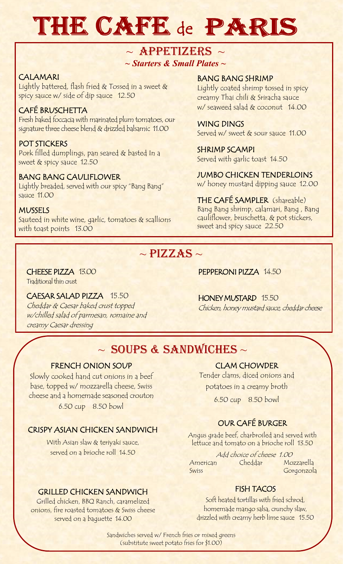# THE CAFE de PARIS

## *~ Starters & Small Plates ~*  $\sim$  APPETIZERS  $\sim$

#### CALAMARI

Lightly battered, flash fried & Tossed in a sweet & spicy sauce w/ side of dip sauce 12.50

### CAFÉ BRUSCHETTA

Fresh baked foccacia with marinated plum tomatoes, our signature three cheese blend & drizzled balsamic 11.00

#### POT STICKERS Pork filled dumplings, pan seared & basted In a sweet & spicy sauce 12.50

#### BANG BANG CAULIFLOWER

Lightly breaded, served with our spicy "Bang Bang" sauce 11.00

#### **MUSSELS**

Sauteed in white wine, garlic, tomatoes & scallions with toast points 13.00

#### BANG BANG SHRIMP

Lightly coated shrimp tossed in spicy creamy Thai chili & Sriracha sauce w/ seaweed salad & coconut 14.00

WING DINGS Served w/ sweet & sour sauce 11.00

SHRIMP SCAMPI Served with garlic toast 14.50

### JUMBO CHICKEN TENDERLOINS

w/ honey mustard dipping sauce 12.00

THE CAFÉ SAMPLER (shareable) Bang Bang shrimp, calamari, Bang , Bang cauliflower, bruschetta, & pot stickers, sweet and spicy sauce 22.50

## $\sim$  PIZZAS  $\sim$

## CHEESE PIZZA 13.00

Traditional thin crust

#### CAESAR SALAD PIZZA 15.50

Cheddar & Caesar baked crust topped w/chilled salad of parmesan, romaine and creamy Caesar dressing

PEPPERONI PIZZA 14.50

HONEY MUSTARD 15.50 Chicken, honey mustard sauce, cheddar cheese

## $\sim$  SOUPS & SANDWICHES  $\sim$

#### FRENCH ONION SOUP

Slowly cooked hand cut onions in a beef base, topped w/ mozzarella cheese, Swiss cheese and a homemade seasoned crouton 6.50 cup 8.50 bowl

#### CRISPY ASIAN CHICKEN SANDWICH

With Asian slaw & teriyaki sauce, served on a brioche roll 14.50

#### GRILLED CHICKEN SANDWICH

Grilled chicken, BBQ Ranch, caramelized onions, fire roasted tomatoes & Swiss cheese served on a baguette 14.00

#### CLAM CHOWDER

Tender clams, diced onions and potatoes in a creamy broth

6.50 cup 8.50 bowl

### OUR CAFÉ BURGER

 Angus grade beef, charbroiled and served with lettuce and tomato on a brioche roll 13.50

 Add choice of cheese 1.00 American Cheddar Mozzarella Swiss Gorgonzola

#### FISH TACOS

Soft heated tortillas with fried schrod, homemade mango salsa, crunchy slaw, drizzled with creamy herb lime sauce 15.50

Sandwiches served w/ French fries or mixed greens (substitute sweet potato fries for \$1.00)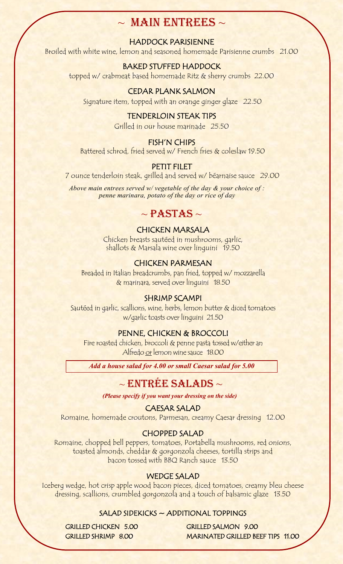## $\sim$  MAIN ENTREES  $\sim$

#### HADDOCK PARISIENNE

Broiled with white wine, lemon and seasoned homemade Parisienne crumbs 21.00

#### BAKED STUFFED HADDOCK

topped w/ crabmeat based homemade Ritz & sherry crumbs 22.00

#### CEDAR PLANK SALMON

Signature item, topped with an orange ginger glaze 22.50

#### TENDERLOIN STEAK TIPS

Grilled in our house marinade 25.50

#### FISH'N CHIPS

Battered schrod, fried served w/ French fries & coleslaw 19.50

#### PETIT FILET

7 ounce tenderloin steak, grilled and served w/ béarnaise sauce 29.00

*Above main entrees served w/ vegetable of the day & your choice of : penne marinara, potato of the day or rice of day*

## $\sim$  PASTAS  $\sim$

#### CHICKEN MARSALA

Chicken breasts sautéed in mushrooms, garlic, shallots & Marsala wine over linguini 19.50

#### CHICKEN PARMESAN

Breaded in Italian breadcrumbs, pan fried, topped w/ mozzarella & marinara, served over linguini 18.50

#### SHRIMP SCAMPI

Sautéed in garlic, scallions, wine, herbs, lemon butter & diced tomatoes w/garlic toasts over linguini 21.50

#### PENNE, CHICKEN & BROCCOLI

Fire roasted chicken, broccoli & penne pasta tossed w/either an Alfredo or lemon wine sauce 18.00

*Add a house salad for 4.00 or small Caesar salad for 5.00* 

#### $\sim$  ENTREE SALADS  $\sim$

*(Please specify if you want your dressing on the side)* 

#### CAESAR SALAD

Romaine, homemade croutons, Parmesan, creamy Caesar dressing 12.00

#### CHOPPED SALAD

Romaine, chopped bell peppers, tomatoes, Portabella mushrooms, red onions, toasted almonds, cheddar & gorgonzola cheeses, tortilla strips and bacon tossed with BBQ Ranch sauce 13.50

#### WEDGE SALAD

Iceberg wedge, hot crisp apple wood bacon pieces, diced tomatoes, creamy bleu cheese dressing, scallions, crumbled gorgonzola and a touch of balsamic glaze 13.50

#### SALAD SIDEKICKS ~ ADDITIONAL TOPPINGS

 GRILLED CHICKEN 5.00 GRILLED SALMON 9.00 GRILLED SHRIMP 8.00 MARINATED GRILLED BEEF TIPS 11.00